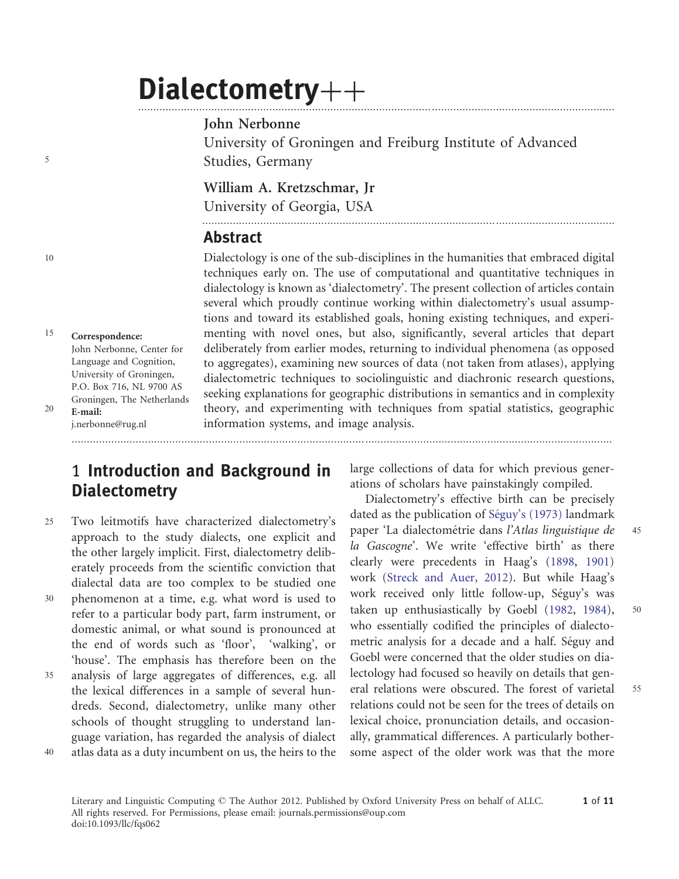# Dialectometry++

#### John Nerbonne

University of Groningen and Freiburg Institute of Advanced <sup>5</sup> Studies, Germany

# William A. Kretzschmar, Jr

University of Georgia, USA .......................................................................................................................................

# Abstract

10 Dialectology is one of the sub-disciplines in the humanities that embraced digital techniques early on. The use of computational and quantitative techniques in dialectology is known as 'dialectometry'. The present collection of articles contain several which proudly continue working within dialectometry's usual assumptions and toward its established goals, honing existing techniques, and experi-15 Correspondence: menting with novel ones, but also, significantly, several articles that depart deliberately from earlier modes, returning to individual phenomena (as opposed to aggregates), examining new sources of data (not taken from atlases), applying dialectometric techniques to sociolinguistic and diachronic research questions, seeking explanations for geographic distributions in semantics and in complexity <sup>20</sup> E-mail: theory, and experimenting with techniques from spatial statistics, geographic information systems, and image analysis.

#### Correspondence:

John Nerbonne, Center for Language and Cognition, University of Groningen, P.O. Box 716, NL 9700 AS Groningen, The Netherlands E-mail:

j.nerbonne@rug.nl

# 1 Introduction and Background in **Dialectometry**

- 25 Two leitmotifs have characterized dialectometry's approach to the study dialects, one explicit and the other largely implicit. First, dialectometry deliberately proceeds from the scientific conviction that dialectal data are too complex to be studied one <sup>30</sup> phenomenon at a time, e.g. what word is used to refer to a particular body part, farm instrument, or domestic animal, or what sound is pronounced at the end of words such as 'floor', 'walking', or 'house'. The emphasis has therefore been on the <sup>35</sup> analysis of large aggregates of differences, e.g. all the lexical differences in a sample of several hun-
- dreds. Second, dialectometry, unlike many other schools of thought struggling to understand language variation, has regarded the analysis of dialect <sup>40</sup> atlas data as a duty incumbent on us, the heirs to the

large collections of data for which previous generations of scholars have painstakingly compiled.

Dialectometry's effective birth can be precisely dated as the publication of Séguy's (1973) landmark paper 'La dialectométrie dans l'Atlas linguistique de 45 la Gascogne'. We write 'effective birth' as there clearly were precedents in Haag's ([1898,](#page-8-0) [1901\)](#page-8-0) work [\(Streck and Auer, 2012](#page-9-0)). But while Haag's work received only little follow-up, Séguy's was taken up enthusiastically by Goebl ([1982,](#page-7-0) [1984](#page-7-0)), <sup>50</sup> who essentially codified the principles of dialectometric analysis for a decade and a half. Séguy and Goebl were concerned that the older studies on dialectology had focused so heavily on details that general relations were obscured. The forest of varietal <sup>55</sup> relations could not be seen for the trees of details on lexical choice, pronunciation details, and occasionally, grammatical differences. A particularly bothersome aspect of the older work was that the more

.................................................................................................................................................................................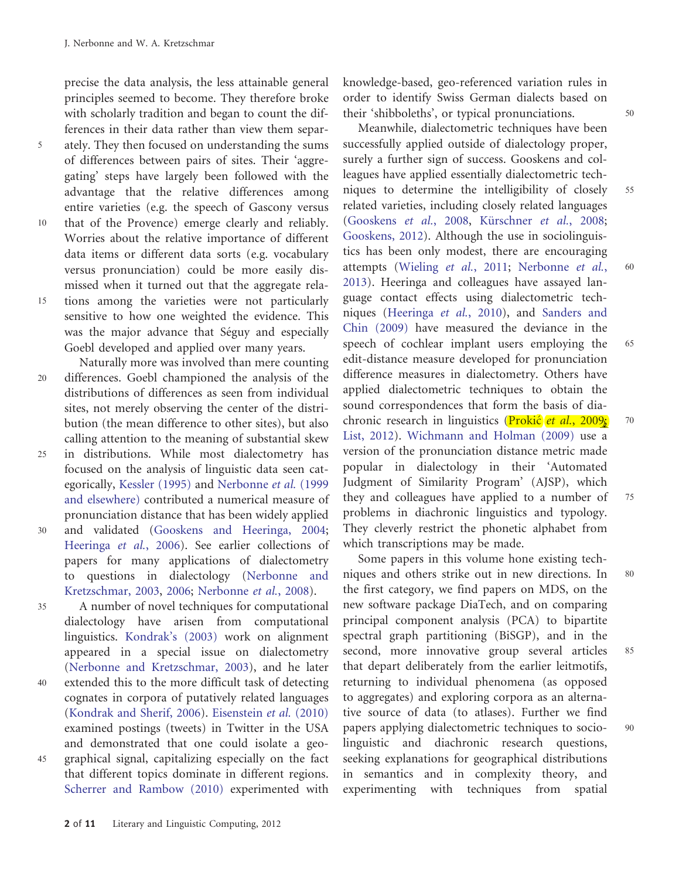precise the data analysis, the less attainable general principles seemed to become. They therefore broke with scholarly tradition and began to count the differences in their data rather than view them separ-

- <sup>5</sup> ately. They then focused on understanding the sums of differences between pairs of sites. Their 'aggregating' steps have largely been followed with the advantage that the relative differences among entire varieties (e.g. the speech of Gascony versus <sup>10</sup> that of the Provence) emerge clearly and reliably. Worries about the relative importance of different data items or different data sorts (e.g. vocabulary versus pronunciation) could be more easily dismissed when it turned out that the aggregate rela-15 tions among the varieties were not particularly
	- sensitive to how one weighted the evidence. This was the major advance that Séguy and especially Goebl developed and applied over many years.
- Naturally more was involved than mere counting 20 differences. Goebl championed the analysis of the distributions of differences as seen from individual sites, not merely observing the center of the distribution (the mean difference to other sites), but also calling attention to the meaning of substantial skew
- 25 in distributions. While most dialectometry has focused on the analysis of linguistic data seen categorically, [Kessler \(1995\)](#page-8-0) and [Nerbonne](#page-9-0) et al. [\(1999](#page-9-0) [and elsewhere\)](#page-9-0) contributed a numerical measure of pronunciation distance that has been widely applied
- 30 and validated [\(Gooskens and Heeringa, 2004](#page-8-0); [Heeringa](#page-8-0) et al., 2006). See earlier collections of papers for many applications of dialectometry to questions in dialectology ([Nerbonne and](#page-9-0) [Kretzschmar, 2003](#page-9-0), [2006](#page-9-0); [Nerbonne](#page-9-0) et al.[, 2008](#page-9-0)).
- <sup>35</sup> A number of novel techniques for computational dialectology have arisen from computational linguistics. [Kondrak's \(2003\)](#page-8-0) work on alignment appeared in a special issue on dialectometry ([Nerbonne and Kretzschmar, 2003](#page-9-0)), and he later <sup>40</sup> extended this to the more difficult task of detecting cognates in corpora of putatively related languages ([Kondrak and Sherif, 2006](#page-8-0)). [Eisenstein](#page-7-0) et al. [\(2010\)](#page-7-0) examined postings (tweets) in Twitter in the USA and demonstrated that one could isolate a geo-<sup>45</sup> graphical signal, capitalizing especially on the fact that different topics dominate in different regions. [Scherrer and Rambow \(2010\)](#page-9-0) experimented with

knowledge-based, geo-referenced variation rules in order to identify Swiss German dialects based on their 'shibboleths', or typical pronunciations.  $50$ 

Meanwhile, dialectometric techniques have been successfully applied outside of dialectology proper, surely a further sign of success. Gooskens and colleagues have applied essentially dialectometric techniques to determine the intelligibility of closely <sup>55</sup> related varieties, including closely related languages ([Gooskens](#page-8-0) et al.[, 2008,](#page-8-0) Kürschner et al.[, 2008;](#page-8-0) [Gooskens, 2012\)](#page-8-0). Although the use in sociolinguistics has been only modest, there are encouraging attempts [\(Wieling](#page-10-0) et al.[, 2011](#page-10-0); [Nerbonne](#page-9-0) et al., 60 [2013](#page-9-0)). Heeringa and colleagues have assayed language contact effects using dialectometric techniques ([Heeringa](#page-8-0) et al.[, 2010](#page-8-0)), and [Sanders and](#page-9-0) [Chin \(2009\)](#page-9-0) have measured the deviance in the speech of cochlear implant users employing the 65 edit-distance measure developed for pronunciation difference measures in dialectometry. Others have applied dialectometric techniques to obtain the sound correspondences that form the basis of diachronic research in linguistics (Prokic<sup> $c$  et al.[, 2009;](#page-9-0) 70</sup> [List, 2012\)](#page-8-0). [Wichmann and Holman \(2009\)](#page-10-0) use a version of the pronunciation distance metric made popular in dialectology in their 'Automated Judgment of Similarity Program' (AJSP), which they and colleagues have applied to a number of 75 problems in diachronic linguistics and typology. They cleverly restrict the phonetic alphabet from which transcriptions may be made.

Some papers in this volume hone existing techniques and others strike out in new directions. In 80 the first category, we find papers on MDS, on the new software package DiaTech, and on comparing principal component analysis (PCA) to bipartite spectral graph partitioning (BiSGP), and in the second, more innovative group several articles 85 that depart deliberately from the earlier leitmotifs, returning to individual phenomena (as opposed to aggregates) and exploring corpora as an alternative source of data (to atlases). Further we find papers applying dialectometric techniques to socio- <sup>90</sup> linguistic and diachronic research questions, seeking explanations for geographical distributions in semantics and in complexity theory, and experimenting with techniques from spatial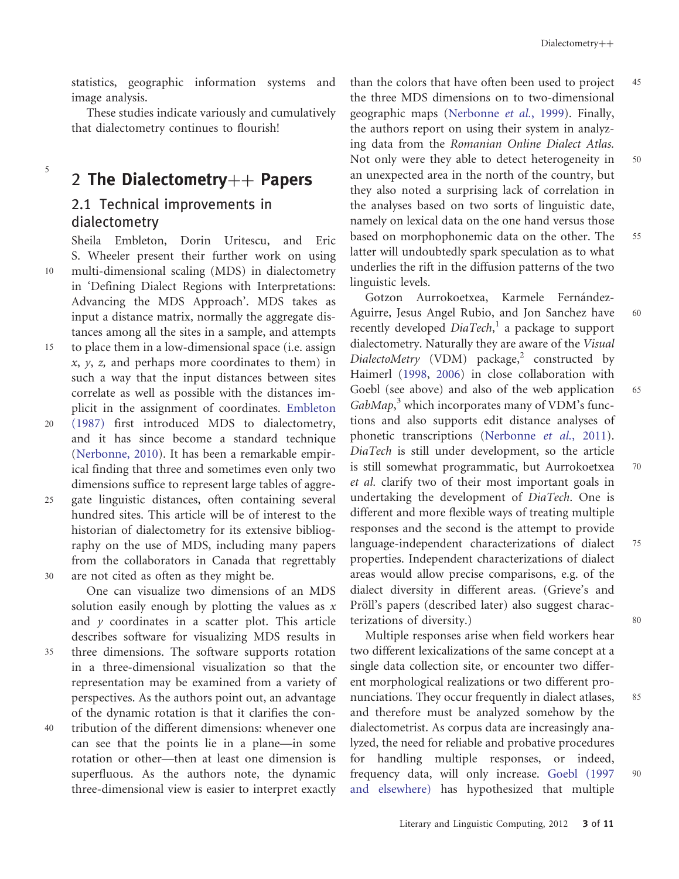statistics, geographic information systems and image analysis.

These studies indicate variously and cumulatively that dialectometry continues to flourish!

5

# 2 The Dialectometry $++$  Papers

# 2.1 Technical improvements in dialectometry

Sheila Embleton, Dorin Uritescu, and Eric S. Wheeler present their further work on using 10 multi-dimensional scaling (MDS) in dialectometry in 'Defining Dialect Regions with Interpretations: Advancing the MDS Approach'. MDS takes as input a distance matrix, normally the aggregate distances among all the sites in a sample, and attempts

- 15 to place them in a low-dimensional space (i.e. assign  $x, y, z$ , and perhaps more coordinates to them) in such a way that the input distances between sites correlate as well as possible with the distances implicit in the assignment of coordinates. [Embleton](#page-7-0)
- 20 [\(1987\)](#page-7-0) first introduced MDS to dialectometry, and it has since become a standard technique [\(Nerbonne, 2010\)](#page-8-0). It has been a remarkable empirical finding that three and sometimes even only two dimensions suffice to represent large tables of aggre-
- 25 gate linguistic distances, often containing several hundred sites. This article will be of interest to the historian of dialectometry for its extensive bibliography on the use of MDS, including many papers from the collaborators in Canada that regrettably <sup>30</sup> are not cited as often as they might be.

One can visualize two dimensions of an MDS solution easily enough by plotting the values as  $x$ and  $y$  coordinates in a scatter plot. This article describes software for visualizing MDS results in

- <sup>35</sup> three dimensions. The software supports rotation in a three-dimensional visualization so that the representation may be examined from a variety of perspectives. As the authors point out, an advantage of the dynamic rotation is that it clarifies the con-
- <sup>40</sup> tribution of the different dimensions: whenever one can see that the points lie in a plane—in some rotation or other—then at least one dimension is superfluous. As the authors note, the dynamic three-dimensional view is easier to interpret exactly

than the colors that have often been used to project 45 the three MDS dimensions on to two-dimensional geographic maps ([Nerbonne](#page-9-0) et al.[, 1999\)](#page-9-0). Finally, the authors report on using their system in analyzing data from the Romanian Online Dialect Atlas. Not only were they able to detect heterogeneity in 50 an unexpected area in the north of the country, but they also noted a surprising lack of correlation in the analyses based on two sorts of linguistic date, namely on lexical data on the one hand versus those based on morphophonemic data on the other. The 55 latter will undoubtedly spark speculation as to what underlies the rift in the diffusion patterns of the two linguistic levels.

Gotzon Aurrokoetxea, Karmele Fernández-Aguirre, Jesus Angel Rubio, and Jon Sanchez have 60 recently developed DiaTech,<sup>1</sup> a package to support dialectometry. Naturally they are aware of the Visual DialectoMetry (VDM) package,<sup>2</sup> constructed by Haimerl ([1998,](#page-8-0) [2006](#page-8-0)) in close collaboration with Goebl (see above) and also of the web application 65 GabMap,<sup>3</sup> which incorporates many of VDM's functions and also supports edit distance analyses of phonetic transcriptions ([Nerbonne](#page-9-0) et al.[, 2011](#page-9-0)). DiaTech is still under development, so the article is still somewhat programmatic, but Aurrokoetxea 70 et al. clarify two of their most important goals in undertaking the development of DiaTech. One is different and more flexible ways of treating multiple responses and the second is the attempt to provide language-independent characterizations of dialect 75 properties. Independent characterizations of dialect areas would allow precise comparisons, e.g. of the dialect diversity in different areas. (Grieve's and Pröll's papers (described later) also suggest characterizations of diversity.) 80

Multiple responses arise when field workers hear two different lexicalizations of the same concept at a single data collection site, or encounter two different morphological realizations or two different pronunciations. They occur frequently in dialect atlases, 85 and therefore must be analyzed somehow by the dialectometrist. As corpus data are increasingly analyzed, the need for reliable and probative procedures for handling multiple responses, or indeed, frequency data, will only increase. [Goebl \(1997](#page-8-0) 90 [and elsewhere\)](#page-8-0) has hypothesized that multiple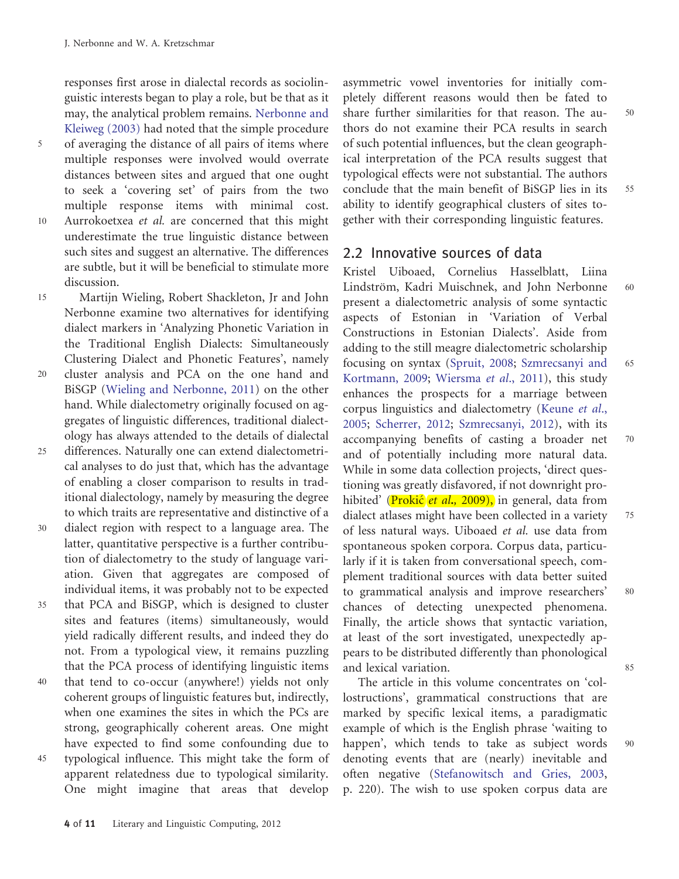responses first arose in dialectal records as sociolinguistic interests began to play a role, but be that as it may, the analytical problem remains. [Nerbonne and](#page-9-0) [Kleiweg \(2003\)](#page-9-0) had noted that the simple procedure

<sup>5</sup> of averaging the distance of all pairs of items where multiple responses were involved would overrate distances between sites and argued that one ought to seek a 'covering set' of pairs from the two multiple response items with minimal cost. <sup>10</sup> Aurrokoetxea et al. are concerned that this might underestimate the true linguistic distance between such sites and suggest an alternative. The differences are subtle, but it will be beneficial to stimulate more discussion.

15 Martijn Wieling, Robert Shackleton, Jr and John Nerbonne examine two alternatives for identifying dialect markers in 'Analyzing Phonetic Variation in the Traditional English Dialects: Simultaneously Clustering Dialect and Phonetic Features', namely 20 cluster analysis and PCA on the one hand and BiSGP ([Wieling and Nerbonne, 2011](#page-10-0)) on the other hand. While dialectometry originally focused on aggregates of linguistic differences, traditional dialectology has always attended to the details of dialectal

25 differences. Naturally one can extend dialectometrical analyses to do just that, which has the advantage of enabling a closer comparison to results in traditional dialectology, namely by measuring the degree to which traits are representative and distinctive of a

- 30 dialect region with respect to a language area. The latter, quantitative perspective is a further contribution of dialectometry to the study of language variation. Given that aggregates are composed of individual items, it was probably not to be expected
- <sup>35</sup> that PCA and BiSGP, which is designed to cluster sites and features (items) simultaneously, would yield radically different results, and indeed they do not. From a typological view, it remains puzzling that the PCA process of identifying linguistic items
- <sup>40</sup> that tend to co-occur (anywhere!) yields not only coherent groups of linguistic features but, indirectly, when one examines the sites in which the PCs are strong, geographically coherent areas. One might have expected to find some confounding due to <sup>45</sup> typological influence. This might take the form of
- apparent relatedness due to typological similarity. One might imagine that areas that develop

asymmetric vowel inventories for initially completely different reasons would then be fated to share further similarities for that reason. The au- <sup>50</sup> thors do not examine their PCA results in search of such potential influences, but the clean geographical interpretation of the PCA results suggest that typological effects were not substantial. The authors conclude that the main benefit of BiSGP lies in its 55 ability to identify geographical clusters of sites together with their corresponding linguistic features.

## 2.2 Innovative sources of data

Kristel Uiboaed, Cornelius Hasselblatt, Liina Lindström, Kadri Muischnek, and John Nerbonne 60 present a dialectometric analysis of some syntactic aspects of Estonian in 'Variation of Verbal Constructions in Estonian Dialects'. Aside from adding to the still meagre dialectometric scholarship focusing on syntax [\(Spruit, 2008](#page-9-0); [Szmrecsanyi and](#page-10-0) 65 [Kortmann, 2009](#page-10-0); [Wiersma](#page-10-0) et al[., 2011](#page-10-0)), this study enhances the prospects for a marriage between corpus linguistics and dialectometry [\(Keune](#page-8-0) [et al](#page-8-0)., [2005](#page-8-0); [Scherrer, 2012](#page-9-0); [Szmrecsanyi, 2012\)](#page-9-0), with its accompanying benefits of casting a broader net 70 and of potentially including more natural data. While in some data collection projects, 'direct questioning was greatly disfavored, if not downright prohibited' ( $\frac{Probability}{|P|}$  et al., 2009), in general, data from dialect atlases might have been collected in a variety 75 of less natural ways. Uiboaed et al. use data from spontaneous spoken corpora. Corpus data, particularly if it is taken from conversational speech, complement traditional sources with data better suited to grammatical analysis and improve researchers' 80 chances of detecting unexpected phenomena. Finally, the article shows that syntactic variation, at least of the sort investigated, unexpectedly appears to be distributed differently than phonological and lexical variation. 85

The article in this volume concentrates on 'collostructions', grammatical constructions that are marked by specific lexical items, a paradigmatic example of which is the English phrase 'waiting to happen', which tends to take as subject words 90 denoting events that are (nearly) inevitable and often negative [\(Stefanowitsch and Gries, 2003,](#page-9-0) p. 220). The wish to use spoken corpus data are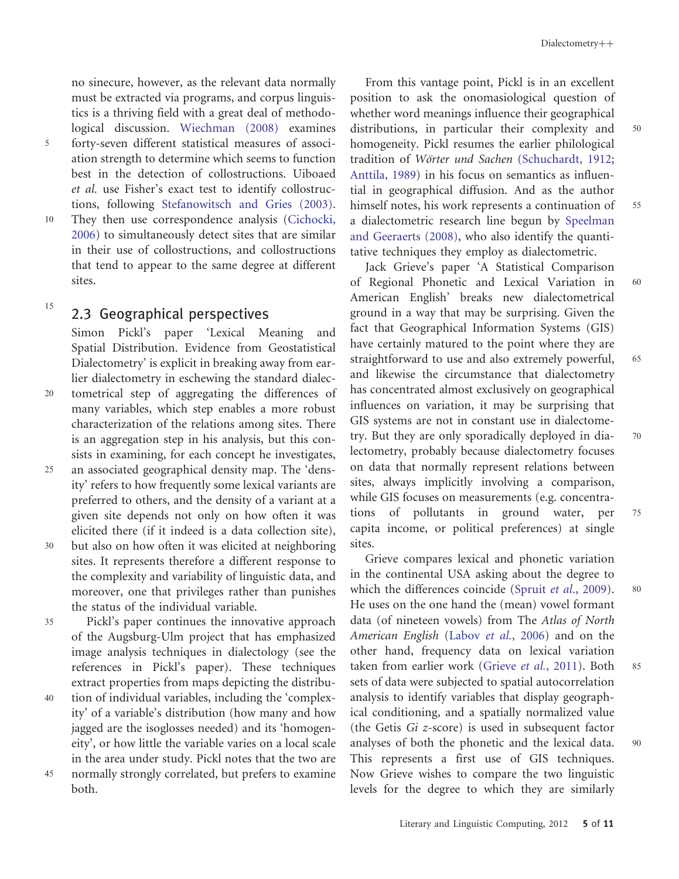no sinecure, however, as the relevant data normally must be extracted via programs, and corpus linguistics is a thriving field with a great deal of methodological discussion. [Wiechman \(2008\)](#page-10-0) examines <sup>5</sup> forty-seven different statistical measures of association strength to determine which seems to function best in the detection of collostructions. Uiboaed et al. use Fisher's exact test to identify collostructions, following [Stefanowitsch and Gries \(2003\)](#page-9-0). <sup>10</sup> They then use correspondence analysis [\(Cichocki,](#page-7-0) [2006\)](#page-7-0) to simultaneously detect sites that are similar

in their use of collostructions, and collostructions that tend to appear to the same degree at different

15

sites.

#### 2.3 Geographical perspectives

Simon Pickl's paper 'Lexical Meaning and Spatial Distribution. Evidence from Geostatistical Dialectometry' is explicit in breaking away from earlier dialectometry in eschewing the standard dialec-

- 20 tometrical step of aggregating the differences of many variables, which step enables a more robust characterization of the relations among sites. There is an aggregation step in his analysis, but this consists in examining, for each concept he investigates,
- 25 an associated geographical density map. The 'density' refers to how frequently some lexical variants are preferred to others, and the density of a variant at a given site depends not only on how often it was elicited there (if it indeed is a data collection site),
- 30 but also on how often it was elicited at neighboring sites. It represents therefore a different response to the complexity and variability of linguistic data, and moreover, one that privileges rather than punishes the status of the individual variable.
- <sup>35</sup> Pickl's paper continues the innovative approach of the Augsburg-Ulm project that has emphasized image analysis techniques in dialectology (see the references in Pickl's paper). These techniques extract properties from maps depicting the distribu-
- <sup>40</sup> tion of individual variables, including the 'complexity' of a variable's distribution (how many and how jagged are the isoglosses needed) and its 'homogeneity', or how little the variable varies on a local scale in the area under study. Pickl notes that the two are
- <sup>45</sup> normally strongly correlated, but prefers to examine both.

From this vantage point, Pickl is in an excellent position to ask the onomasiological question of whether word meanings influence their geographical distributions, in particular their complexity and 50 homogeneity. Pickl resumes the earlier philological tradition of Wörter und Sachen [\(Schuchardt, 1912](#page-9-0); [Anttila, 1989](#page-7-0)) in his focus on semantics as influential in geographical diffusion. And as the author himself notes, his work represents a continuation of 55 a dialectometric research line begun by [Speelman](#page-9-0) [and Geeraerts \(2008\)](#page-9-0), who also identify the quantitative techniques they employ as dialectometric.

Jack Grieve's paper 'A Statistical Comparison of Regional Phonetic and Lexical Variation in 60 American English' breaks new dialectometrical ground in a way that may be surprising. Given the fact that Geographical Information Systems (GIS) have certainly matured to the point where they are straightforward to use and also extremely powerful, 65 and likewise the circumstance that dialectometry has concentrated almost exclusively on geographical influences on variation, it may be surprising that GIS systems are not in constant use in dialectometry. But they are only sporadically deployed in dia- 70 lectometry, probably because dialectometry focuses on data that normally represent relations between sites, always implicitly involving a comparison, while GIS focuses on measurements (e.g. concentrations of pollutants in ground water, per 75 capita income, or political preferences) at single sites.

Grieve compares lexical and phonetic variation in the continental USA asking about the degree to which the differences coincide [\(Spruit](#page-9-0) et al[., 2009](#page-9-0)). 80 He uses on the one hand the (mean) vowel formant data (of nineteen vowels) from The Atlas of North American English (Labov et al.[, 2006](#page-8-0)) and on the other hand, frequency data on lexical variation taken from earlier work [\(Grieve](#page-8-0) et al.[, 2011](#page-8-0)). Both 85 sets of data were subjected to spatial autocorrelation analysis to identify variables that display geographical conditioning, and a spatially normalized value (the Getis Gi z-score) is used in subsequent factor analyses of both the phonetic and the lexical data. 90 This represents a first use of GIS techniques. Now Grieve wishes to compare the two linguistic levels for the degree to which they are similarly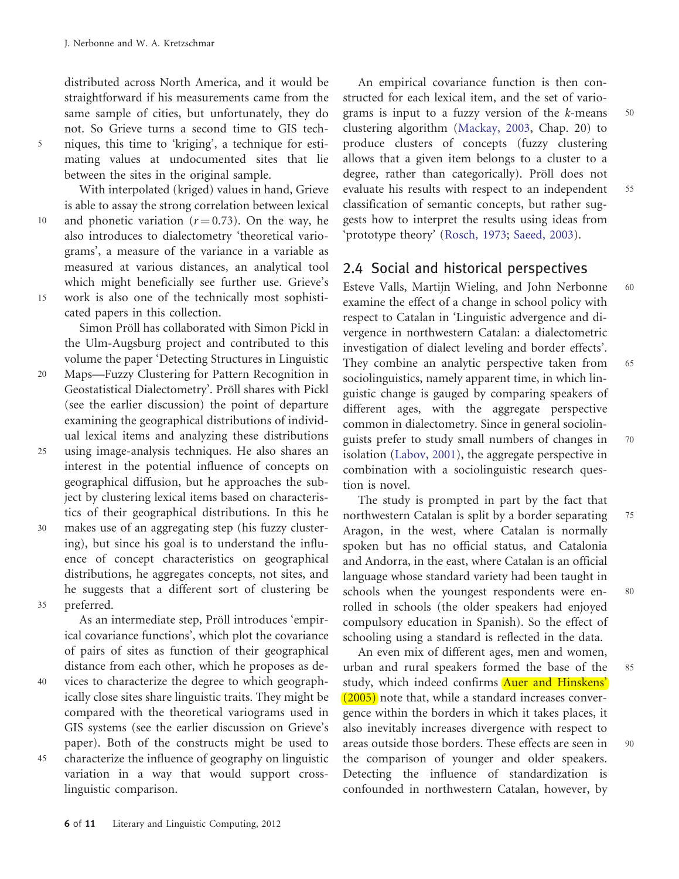distributed across North America, and it would be straightforward if his measurements came from the same sample of cities, but unfortunately, they do not. So Grieve turns a second time to GIS tech-<sup>5</sup> niques, this time to 'kriging', a technique for estimating values at undocumented sites that lie between the sites in the original sample.

With interpolated (kriged) values in hand, Grieve is able to assay the strong correlation between lexical 10 and phonetic variation  $(r=0.73)$ . On the way, he also introduces to dialectometry 'theoretical variograms', a measure of the variance in a variable as measured at various distances, an analytical tool which might beneficially see further use. Grieve's 15 work is also one of the technically most sophisticated papers in this collection.

Simon Pröll has collaborated with Simon Pickl in the Ulm-Augsburg project and contributed to this volume the paper 'Detecting Structures in Linguistic 20 Maps—Fuzzy Clustering for Pattern Recognition in Geostatistical Dialectometry'. Pröll shares with Pickl (see the earlier discussion) the point of departure examining the geographical distributions of individual lexical items and analyzing these distributions

- 25 using image-analysis techniques. He also shares an interest in the potential influence of concepts on geographical diffusion, but he approaches the subject by clustering lexical items based on characteristics of their geographical distributions. In this he
- 30 makes use of an aggregating step (his fuzzy clustering), but since his goal is to understand the influence of concept characteristics on geographical distributions, he aggregates concepts, not sites, and he suggests that a different sort of clustering be <sup>35</sup> preferred.

As an intermediate step, Pröll introduces 'empirical covariance functions', which plot the covariance of pairs of sites as function of their geographical distance from each other, which he proposes as de-

<sup>40</sup> vices to characterize the degree to which geographically close sites share linguistic traits. They might be compared with the theoretical variograms used in GIS systems (see the earlier discussion on Grieve's paper). Both of the constructs might be used to <sup>45</sup> characterize the influence of geography on linguistic variation in a way that would support crosslinguistic comparison.

An empirical covariance function is then constructed for each lexical item, and the set of variograms is input to a fuzzy version of the  $k$ -means  $50$ clustering algorithm ([Mackay, 2003,](#page-8-0) Chap. 20) to produce clusters of concepts (fuzzy clustering allows that a given item belongs to a cluster to a degree, rather than categorically). Pröll does not evaluate his results with respect to an independent 55 classification of semantic concepts, but rather suggests how to interpret the results using ideas from 'prototype theory' ([Rosch, 1973;](#page-9-0) [Saeed, 2003](#page-9-0)).

#### 2.4 Social and historical perspectives

Esteve Valls, Martijn Wieling, and John Nerbonne 60 examine the effect of a change in school policy with respect to Catalan in 'Linguistic advergence and divergence in northwestern Catalan: a dialectometric investigation of dialect leveling and border effects'. They combine an analytic perspective taken from 65 sociolinguistics, namely apparent time, in which linguistic change is gauged by comparing speakers of different ages, with the aggregate perspective common in dialectometry. Since in general sociolinguists prefer to study small numbers of changes in 70 isolation [\(Labov, 2001\)](#page-8-0), the aggregate perspective in combination with a sociolinguistic research question is novel.

The study is prompted in part by the fact that northwestern Catalan is split by a border separating 75 Aragon, in the west, where Catalan is normally spoken but has no official status, and Catalonia and Andorra, in the east, where Catalan is an official language whose standard variety had been taught in schools when the youngest respondents were en- <sup>80</sup> rolled in schools (the older speakers had enjoyed compulsory education in Spanish). So the effect of schooling using a standard is reflected in the data.

An even mix of different ages, men and women, urban and rural speakers formed the base of the <sup>85</sup> study, which indeed confirms Auer and Hinskens' (2005) note that, while a standard increases convergence within the borders in which it takes places, it also inevitably increases divergence with respect to areas outside those borders. These effects are seen in 90 the comparison of younger and older speakers. Detecting the influence of standardization is confounded in northwestern Catalan, however, by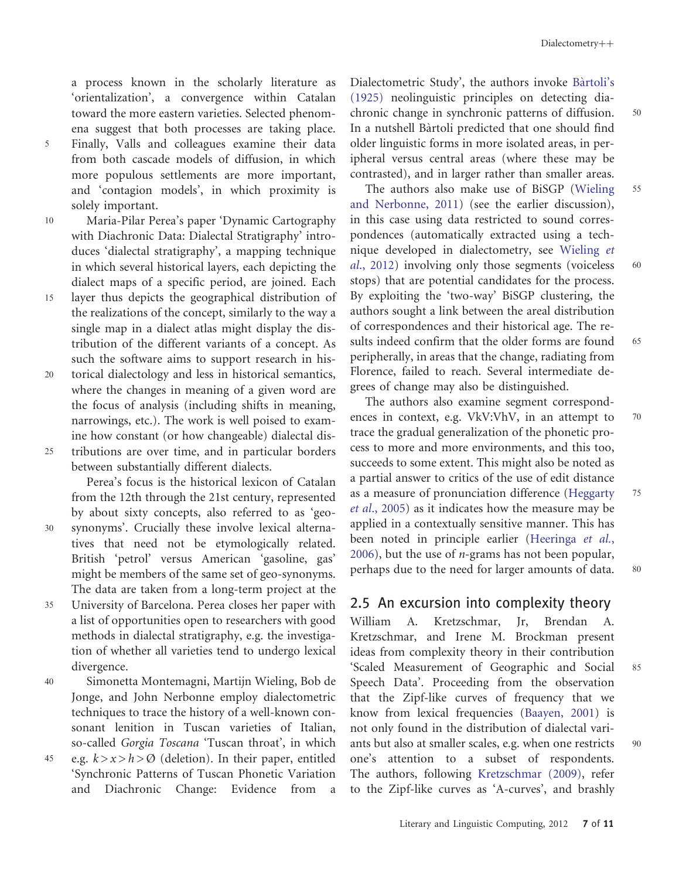a process known in the scholarly literature as 'orientalization', a convergence within Catalan toward the more eastern varieties. Selected phenomena suggest that both processes are taking place.

- <sup>5</sup> Finally, Valls and colleagues examine their data from both cascade models of diffusion, in which more populous settlements are more important, and 'contagion models', in which proximity is solely important.
- <sup>10</sup> Maria-Pilar Perea's paper 'Dynamic Cartography with Diachronic Data: Dialectal Stratigraphy' introduces 'dialectal stratigraphy', a mapping technique in which several historical layers, each depicting the dialect maps of a specific period, are joined. Each
- 15 layer thus depicts the geographical distribution of the realizations of the concept, similarly to the way a single map in a dialect atlas might display the distribution of the different variants of a concept. As such the software aims to support research in his-
- 20 torical dialectology and less in historical semantics, where the changes in meaning of a given word are the focus of analysis (including shifts in meaning, narrowings, etc.). The work is well poised to examine how constant (or how changeable) dialectal dis-25 tributions are over time, and in particular borders

between substantially different dialects.

Perea's focus is the historical lexicon of Catalan from the 12th through the 21st century, represented by about sixty concepts, also referred to as 'geo-30 synonyms'. Crucially these involve lexical alternatives that need not be etymologically related. British 'petrol' versus American 'gasoline, gas'

- might be members of the same set of geo-synonyms. The data are taken from a long-term project at the <sup>35</sup> University of Barcelona. Perea closes her paper with a list of opportunities open to researchers with good methods in dialectal stratigraphy, e.g. the investigation of whether all varieties tend to undergo lexical divergence.
- <sup>40</sup> Simonetta Montemagni, Martijn Wieling, Bob de Jonge, and John Nerbonne employ dialectometric techniques to trace the history of a well-known consonant lenition in Tuscan varieties of Italian, so-called Gorgia Toscana 'Tuscan throat', in which
- 45 e.g.  $k > x > h > \emptyset$  (deletion). In their paper, entitled 'Synchronic Patterns of Tuscan Phonetic Variation and Diachronic Change: Evidence from a

Dialectometric Study', the authors invoke Bàrtoli's [\(1925\)](#page-7-0) neolinguistic principles on detecting diachronic change in synchronic patterns of diffusion. 50 In a nutshell Bàrtoli predicted that one should find older linguistic forms in more isolated areas, in peripheral versus central areas (where these may be contrasted), and in larger rather than smaller areas.

The authors also make use of BiSGP [\(Wieling](#page-10-0) 55 [and Nerbonne, 2011](#page-10-0)) (see the earlier discussion), in this case using data restricted to sound correspondences (automatically extracted using a technique developed in dialectometry, see [Wieling](#page-10-0) [et](#page-10-0)  $al$ , 2012) involving only those segments (voiceless  $60$ stops) that are potential candidates for the process. By exploiting the 'two-way' BiSGP clustering, the authors sought a link between the areal distribution of correspondences and their historical age. The results indeed confirm that the older forms are found 65 peripherally, in areas that the change, radiating from Florence, failed to reach. Several intermediate degrees of change may also be distinguished.

The authors also examine segment correspondences in context, e.g. VkV:VhV, in an attempt to 70 trace the gradual generalization of the phonetic process to more and more environments, and this too, succeeds to some extent. This might also be noted as a partial answer to critics of the use of edit distance as a measure of pronunciation difference [\(Heggarty](#page-8-0) 75 et al[., 2005\)](#page-8-0) as it indicates how the measure may be applied in a contextually sensitive manner. This has been noted in principle earlier ([Heeringa](#page-8-0) et al.[,](#page-8-0)  $2006$ ), but the use of *n*-grams has not been popular, perhaps due to the need for larger amounts of data. 80

#### 2.5 An excursion into complexity theory

William A. Kretzschmar, Jr, Brendan A. Kretzschmar, and Irene M. Brockman present ideas from complexity theory in their contribution 'Scaled Measurement of Geographic and Social <sup>85</sup> Speech Data'. Proceeding from the observation that the Zipf-like curves of frequency that we know from lexical frequencies [\(Baayen, 2001\)](#page-7-0) is not only found in the distribution of dialectal variants but also at smaller scales, e.g. when one restricts 90 one's attention to a subset of respondents. The authors, following [Kretzschmar \(2009\),](#page-8-0) refer to the Zipf-like curves as 'A-curves', and brashly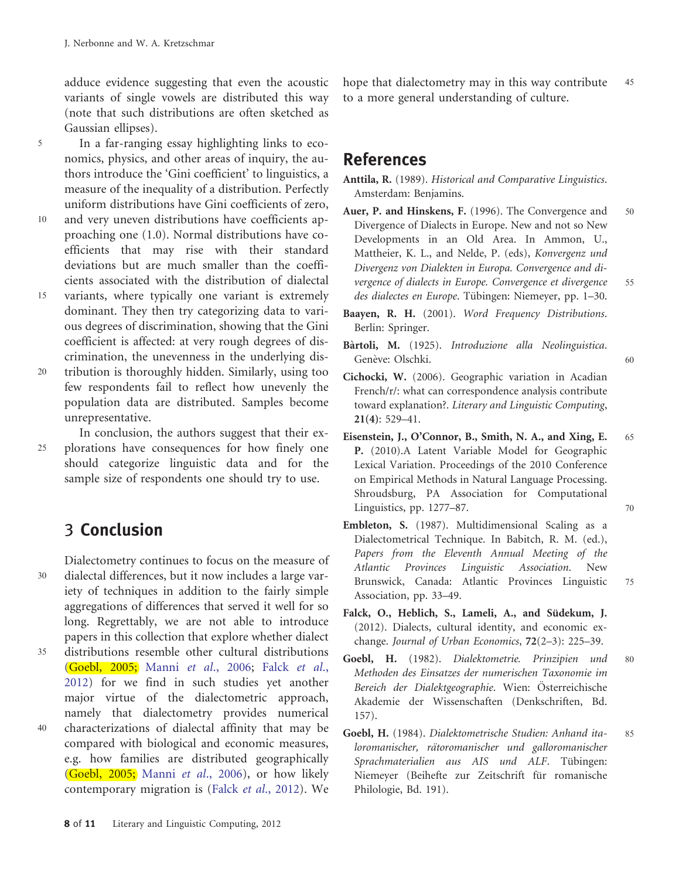<span id="page-7-0"></span>adduce evidence suggesting that even the acoustic variants of single vowels are distributed this way (note that such distributions are often sketched as Gaussian ellipses).

<sup>5</sup> In a far-ranging essay highlighting links to economics, physics, and other areas of inquiry, the authors introduce the 'Gini coefficient' to linguistics, a measure of the inequality of a distribution. Perfectly uniform distributions have Gini coefficients of zero,

- <sup>10</sup> and very uneven distributions have coefficients approaching one (1.0). Normal distributions have coefficients that may rise with their standard deviations but are much smaller than the coefficients associated with the distribution of dialectal
- 15 variants, where typically one variant is extremely dominant. They then try categorizing data to various degrees of discrimination, showing that the Gini coefficient is affected: at very rough degrees of discrimination, the unevenness in the underlying dis-
- 20 tribution is thoroughly hidden. Similarly, using too few respondents fail to reflect how unevenly the population data are distributed. Samples become unrepresentative.

In conclusion, the authors suggest that their ex-

25 plorations have consequences for how finely one should categorize linguistic data and for the sample size of respondents one should try to use.

# 3 Conclusion

Dialectometry continues to focus on the measure of <sup>30</sup> dialectal differences, but it now includes a large variety of techniques in addition to the fairly simple aggregations of differences that served it well for so long. Regrettably, we are not able to introduce papers in this collection that explore whether dialect

<sup>35</sup> distributions resemble other cultural distributions (Goebl, 2005; [Manni](#page-8-0) et al[., 2006](#page-8-0); Falck et al., 2012) for we find in such studies yet another major virtue of the dialectometric approach, namely that dialectometry provides numerical <sup>40</sup> characterizations of dialectal affinity that may be compared with biological and economic measures, e.g. how families are distributed geographically (Goebl, 2005; [Manni](#page-8-0) et al[., 2006](#page-8-0)), or how likely contemporary migration is (Falck et al., 2012). We hope that dialectometry may in this way contribute 45 to a more general understanding of culture.

# References

- Anttila, R. (1989). Historical and Comparative Linguistics. Amsterdam: Benjamins.
- Auer, P. and Hinskens, F. (1996). The Convergence and 50 Divergence of Dialects in Europe. New and not so New Developments in an Old Area. In Ammon, U., Mattheier, K. L., and Nelde, P. (eds), Konvergenz und Divergenz von Dialekten in Europa. Convergence and divergence of dialects in Europe. Convergence et divergence 55 des dialectes en Europe. Tübingen: Niemeyer, pp. 1-30.

Baayen, R. H. (2001). Word Frequency Distributions. Berlin: Springer.

- Bàrtoli, M. (1925). Introduzione alla Neolinguistica. Genève: Olschki. 60
- Cichocki, W. (2006). Geographic variation in Acadian French/r/: what can correspondence analysis contribute toward explanation?. Literary and Linguistic Computing, 21(4): 529–41.
- Eisenstein, J., O'Connor, B., Smith, N. A., and Xing, E. 65 P. (2010).A Latent Variable Model for Geographic Lexical Variation. Proceedings of the 2010 Conference on Empirical Methods in Natural Language Processing. Shroudsburg, PA Association for Computational Linguistics, pp. 1277–87. 70
- Embleton, S. (1987). Multidimensional Scaling as a Dialectometrical Technique. In Babitch, R. M. (ed.), Papers from the Eleventh Annual Meeting of the Atlantic Provinces Linguistic Association. New Brunswick, Canada: Atlantic Provinces Linguistic 75 Association, pp. 33–49.
- Falck, O., Heblich, S., Lameli, A., and Südekum, J. (2012). Dialects, cultural identity, and economic exchange. Journal of Urban Economics, 72(2–3): 225–39.
- Goebl, H. (1982). Dialektometrie. Prinzipien und 80 Methoden des Einsatzes der numerischen Taxonomie im Bereich der Dialektgeographie. Wien: Österreichische Akademie der Wissenschaften (Denkschriften, Bd. 157).
- Goebl, H. (1984). Dialektometrische Studien: Anhand ita- 85 loromanischer, rätoromanischer und galloromanischer Sprachmaterialien aus AIS und ALF. Tübingen: Niemeyer (Beihefte zur Zeitschrift für romanische Philologie, Bd. 191).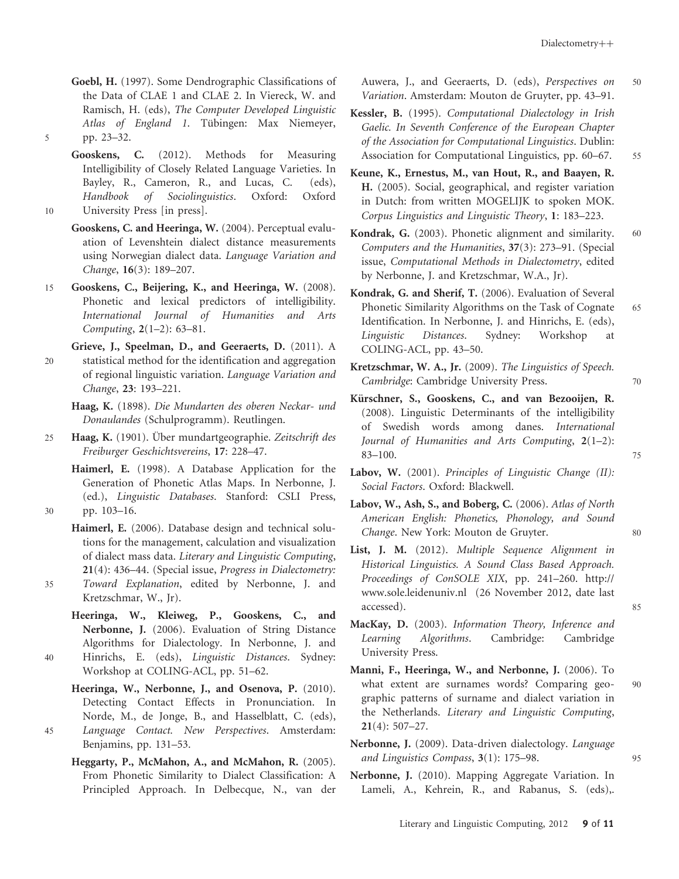<span id="page-8-0"></span>Goebl, H. (1997). Some Dendrographic Classifications of the Data of CLAE 1 and CLAE 2. In Viereck, W. and Ramisch, H. (eds), The Computer Developed Linguistic Atlas of England 1. Tübingen: Max Niemeyer, 5 pp. 23–32.

- Gooskens, C. (2012). Methods for Measuring Intelligibility of Closely Related Language Varieties. In Bayley, R., Cameron, R., and Lucas, C. (eds), Handbook of Sociolinguistics. Oxford: Oxford 10 University Press [in press].
	- Gooskens, C. and Heeringa, W. (2004). Perceptual evaluation of Levenshtein dialect distance measurements using Norwegian dialect data. Language Variation and Change, 16(3): 189–207.
- 15 Gooskens, C., Beijering, K., and Heeringa, W. (2008). Phonetic and lexical predictors of intelligibility. International Journal of Humanities and Arts Computing, 2(1–2): 63–81.
- Grieve, J., Speelman, D., and Geeraerts, D. (2011). A 20 statistical method for the identification and aggregation of regional linguistic variation. Language Variation and Change, 23: 193–221.
	- Haag, K. (1898). Die Mundarten des oberen Neckar- und Donaulandes (Schulprogramm). Reutlingen.
- 25 Haag, K. (1901). Über mundartgeographie. Zeitschrift des Freiburger Geschichtsvereins, 17: 228–47.

Haimerl, E. (1998). A Database Application for the Generation of Phonetic Atlas Maps. In Nerbonne, J. (ed.), Linguistic Databases. Stanford: CSLI Press, 30 pp. 103–16.

- Haimerl, E. (2006). Database design and technical solutions for the management, calculation and visualization of dialect mass data. Literary and Linguistic Computing, 21(4): 436–44. (Special issue, Progress in Dialectometry: 35 Toward Explanation, edited by Nerbonne, J. and
- Kretzschmar, W., Jr).
- Heeringa, W., Kleiweg, P., Gooskens, C., and Nerbonne, J. (2006). Evaluation of String Distance Algorithms for Dialectology. In Nerbonne, J. and 40 Hinrichs, E. (eds), Linguistic Distances. Sydney:
	- Workshop at COLING-ACL, pp. 51–62.
- Heeringa, W., Nerbonne, J., and Osenova, P. (2010). Detecting Contact Effects in Pronunciation. In Norde, M., de Jonge, B., and Hasselblatt, C. (eds), 45 Language Contact. New Perspectives. Amsterdam: Benjamins, pp. 131–53.
	- Heggarty, P., McMahon, A., and McMahon, R. (2005). From Phonetic Similarity to Dialect Classification: A Principled Approach. In Delbecque, N., van der

Auwera, J., and Geeraerts, D. (eds), Perspectives on 50 Variation. Amsterdam: Mouton de Gruyter, pp. 43–91.

- Kessler, B. (1995). Computational Dialectology in Irish Gaelic. In Seventh Conference of the European Chapter of the Association for Computational Linguistics. Dublin: Association for Computational Linguistics, pp. 60–67. 55
- Keune, K., Ernestus, M., van Hout, R., and Baayen, R. H. (2005). Social, geographical, and register variation in Dutch: from written MOGELIJK to spoken MOK. Corpus Linguistics and Linguistic Theory, 1: 183–223.
- Kondrak, G. (2003). Phonetic alignment and similarity. 60 Computers and the Humanities, 37(3): 273–91. (Special issue, Computational Methods in Dialectometry, edited by Nerbonne, J. and Kretzschmar, W.A., Jr).
- Kondrak, G. and Sherif, T. (2006). Evaluation of Several Phonetic Similarity Algorithms on the Task of Cognate 65 Identification. In Nerbonne, J. and Hinrichs, E. (eds), Linguistic Distances. Sydney: Workshop at COLING-ACL, pp. 43–50.
- Kretzschmar, W. A., Jr. (2009). The Linguistics of Speech. Cambridge: Cambridge University Press. 70
- Kürschner, S., Gooskens, C., and van Bezooijen, R. (2008). Linguistic Determinants of the intelligibility of Swedish words among danes. International Journal of Humanities and Arts Computing, 2(1–2): 83–100. 75
- Labov, W. (2001). Principles of Linguistic Change (II): Social Factors. Oxford: Blackwell.
- Labov, W., Ash, S., and Boberg, C. (2006). Atlas of North American English: Phonetics, Phonology, and Sound Change. New York: Mouton de Gruyter. 80
- List, J. M. (2012). Multiple Sequence Alignment in Historical Linguistics. A Sound Class Based Approach. Proceedings of ConSOLE XIX, pp. 241–260. [http://](http://www.sole.leidenuniv.nl) [www.sole.leidenuniv.nl](http://www.sole.leidenuniv.nl) (26 November 2012, date last accessed). 85
- MacKay, D. (2003). Information Theory, Inference and Learning Algorithms. Cambridge: Cambridge University Press.
- Manni, F., Heeringa, W., and Nerbonne, J. (2006). To what extent are surnames words? Comparing geo- 90 graphic patterns of surname and dialect variation in the Netherlands. Literary and Linguistic Computing, 21(4): 507–27.
- Nerbonne, J. (2009). Data-driven dialectology. Language and Linguistics Compass,  $3(1)$ : 175–98. 95
- Nerbonne, J. (2010). Mapping Aggregate Variation. In Lameli, A., Kehrein, R., and Rabanus, S. (eds),.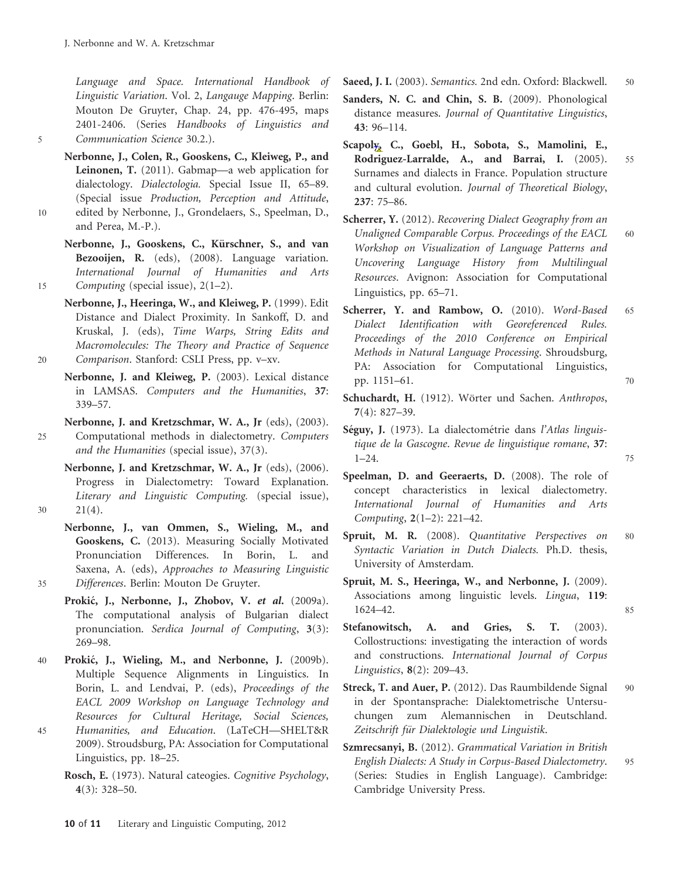<span id="page-9-0"></span>Language and Space. International Handbook of Linguistic Variation. Vol. 2, Langauge Mapping. Berlin: Mouton De Gruyter, Chap. 24, pp. 476-495, maps 2401-2406. (Series Handbooks of Linguistics and 5 Communication Science 30.2.).

- Nerbonne, J., Colen, R., Gooskens, C., Kleiweg, P., and Leinonen, T. (2011). Gabmap—a web application for dialectology. Dialectologia. Special Issue II, 65–89. (Special issue Production, Perception and Attitude, 10 edited by Nerbonne, J., Grondelaers, S., Speelman, D., and Perea, M.-P.).
- Nerbonne, J., Gooskens, C., Kürschner, S., and van Bezooijen, R. (eds), (2008). Language variation. International Journal of Humanities and Arts 15 Computing (special issue), 2(1–2).
- Nerbonne, J., Heeringa, W., and Kleiweg, P. (1999). Edit Distance and Dialect Proximity. In Sankoff, D. and Kruskal, J. (eds), Time Warps, String Edits and Macromolecules: The Theory and Practice of Sequence 20 Comparison. Stanford: CSLI Press, pp. v–xv.
	- - Nerbonne, J. and Kleiweg, P. (2003). Lexical distance in LAMSAS. Computers and the Humanities, 37: 339–57.
- Nerbonne, J. and Kretzschmar, W. A., Jr (eds), (2003). 25 Computational methods in dialectometry. Computers and the Humanities (special issue), 37(3).
- Nerbonne, J. and Kretzschmar, W. A., Jr (eds), (2006). Progress in Dialectometry: Toward Explanation. Literary and Linguistic Computing. (special issue), 30 21(4).
- Nerbonne, J., van Ommen, S., Wieling, M., and Gooskens, C. (2013). Measuring Socially Motivated Pronunciation Differences. In Borin, L. and Saxena, A. (eds), Approaches to Measuring Linguistic 35 Differences. Berlin: Mouton De Gruyter.
	- Prokić, J., Nerbonne, J., Zhobov, V. et al. (2009a). The computational analysis of Bulgarian dialect pronunciation. Serdica Journal of Computing, 3(3): 269–98.
- 40 Prokić, J., Wieling, M., and Nerbonne, J. (2009b). Multiple Sequence Alignments in Linguistics. In Borin, L. and Lendvai, P. (eds), Proceedings of the EACL 2009 Workshop on Language Technology and Resources for Cultural Heritage, Social Sciences,
- 45 Humanities, and Education. (LaTeCH—SHELT&R 2009). Stroudsburg, PA: Association for Computational Linguistics, pp. 18–25.
	- Rosch, E. (1973). Natural cateogies. Cognitive Psychology, 4(3): 328–50.

Saeed, J. I. (2003). Semantics. 2nd edn. Oxford: Blackwell. 50

- Sanders, N. C. and Chin, S. B. (2009). Phonological distance measures. Journal of Quantitative Linguistics, 43: 96–114.
- Scapoly, C., Goebl, H., Sobota, S., Mamolini, E., Rodriguez-Larralde, A., and Barrai, I. (2005). 55 Surnames and dialects in France. Population structure and cultural evolution. Journal of Theoretical Biology, 237: 75–86.
- Scherrer, Y. (2012). Recovering Dialect Geography from an Unaligned Comparable Corpus. Proceedings of the EACL 60 Workshop on Visualization of Language Patterns and Uncovering Language History from Multilingual Resources. Avignon: Association for Computational Linguistics, pp. 65–71.
- Scherrer, Y. and Rambow, O. (2010). Word-Based 65 Dialect Identification with Georeferenced Rules. Proceedings of the 2010 Conference on Empirical Methods in Natural Language Processing. Shroudsburg, PA: Association for Computational Linguistics, pp. 1151–61. 20
- Schuchardt, H. (1912). Wörter und Sachen. Anthropos, 7(4): 827–39.
- Séguy, J. (1973). La dialectométrie dans l'Atlas linguistique de la Gascogne. Revue de linguistique romane, 37: 1–24. 75
- Speelman, D. and Geeraerts, D. (2008). The role of concept characteristics in lexical dialectometry. International Journal of Humanities and Arts Computing, 2(1–2): 221–42.
- Spruit, M. R. (2008). Quantitative Perspectives on 80 Syntactic Variation in Dutch Dialects. Ph.D. thesis, University of Amsterdam.
- Spruit, M. S., Heeringa, W., and Nerbonne, J. (2009). Associations among linguistic levels. Lingua, 119: 1624–42. 85
- Stefanowitsch, A. and Gries, S. T. (2003). Collostructions: investigating the interaction of words and constructions. International Journal of Corpus Linguistics, 8(2): 209–43.
- Streck, T. and Auer, P. (2012). Das Raumbildende Signal 90 in der Spontansprache: Dialektometrische Untersuchungen zum Alemannischen in Deutschland. Zeitschrift für Dialektologie und Linguistik.
- Szmrecsanyi, B. (2012). Grammatical Variation in British English Dialects: A Study in Corpus-Based Dialectometry. 95 (Series: Studies in English Language). Cambridge: Cambridge University Press.

10 of 11 Literary and Linguistic Computing, 2012